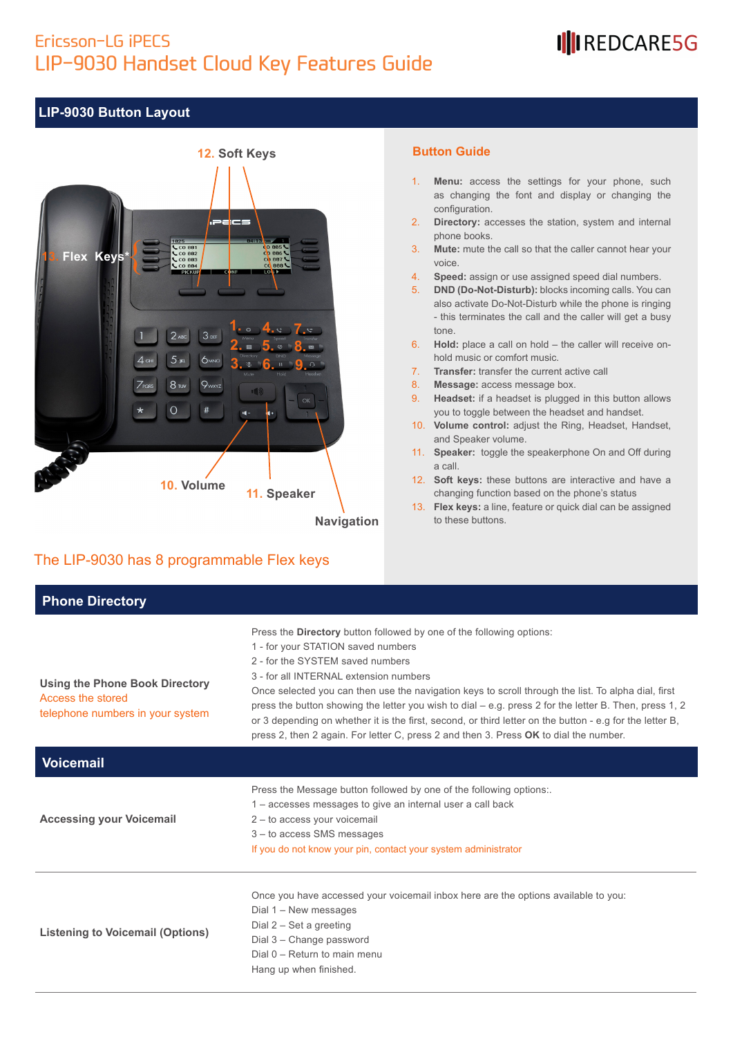### Ericsson-LG iPECS LIP-9030 Handset Cloud Key Features Guide

## IIIREDCARE5G

#### **LIP-9030 Button Layout**



#### The LIP-9030 has 8 programmable Flex keys

#### **Button Guide**

- 1. **Menu:** access the settings for your phone, such as changing the font and display or changing the configuration.
- 2. **Directory:** accesses the station, system and internal phone books.
- 3. **Mute:** mute the call so that the caller cannot hear your voice.
- 4. **Speed:** assign or use assigned speed dial numbers.
- 5. **DND (Do-Not-Disturb):** blocks incoming calls. You can also activate Do-Not-Disturb while the phone is ringing - this terminates the call and the caller will get a busy tone.
- 6. **Hold:** place a call on hold the caller will receive onhold music or comfort music.
- 7. **Transfer:** transfer the current active call
- 8. **Message:** access message box.
- 9. **Headset:** if a headset is plugged in this button allows you to toggle between the headset and handset.
- 10. **Volume control:** adjust the Ring, Headset, Handset, and Speaker volume.
- 11. **Speaker:** toggle the speakerphone On and Off during a call.
- 12. **Soft keys:** these buttons are interactive and have a changing function based on the phone's status
- 13. **Flex keys:** a line, feature or quick dial can be assigned to these buttons.

| <b>Phone Directory</b>                                                                         |                                                                                                                                                                                                                                                                                                                                                                                                                                                                                                                                                                                                                  |
|------------------------------------------------------------------------------------------------|------------------------------------------------------------------------------------------------------------------------------------------------------------------------------------------------------------------------------------------------------------------------------------------------------------------------------------------------------------------------------------------------------------------------------------------------------------------------------------------------------------------------------------------------------------------------------------------------------------------|
| <b>Using the Phone Book Directory</b><br>Access the stored<br>telephone numbers in your system | Press the Directory button followed by one of the following options:<br>1 - for your STATION saved numbers<br>2 - for the SYSTEM saved numbers<br>3 - for all INTERNAL extension numbers<br>Once selected you can then use the navigation keys to scroll through the list. To alpha dial, first<br>press the button showing the letter you wish to dial $-$ e.g. press 2 for the letter B. Then, press 1, 2<br>or 3 depending on whether it is the first, second, or third letter on the button - e.g for the letter B,<br>press 2, then 2 again. For letter C, press 2 and then 3. Press OK to dial the number. |
| <b>Voicemail</b>                                                                               |                                                                                                                                                                                                                                                                                                                                                                                                                                                                                                                                                                                                                  |
| <b>Accessing your Voicemail</b>                                                                | Press the Message button followed by one of the following options:.<br>1 – accesses messages to give an internal user a call back<br>2 - to access your voicemail<br>3 - to access SMS messages<br>If you do not know your pin, contact your system administrator                                                                                                                                                                                                                                                                                                                                                |
| <b>Listening to Voicemail (Options)</b>                                                        | Once you have accessed your voicemail inbox here are the options available to you:<br>Dial 1 - New messages<br>Dial $2 - Set$ a greeting<br>Dial 3 - Change password<br>Dial $0 -$ Return to main menu<br>Hang up when finished.                                                                                                                                                                                                                                                                                                                                                                                 |